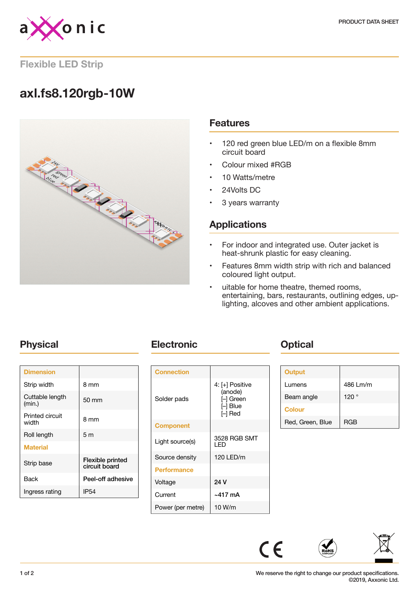

### **Flexible LED Strip**

# **axl.fs8.120rgb-10W**



### **Features**

- 120 red green blue LED/m on a flexible 8mm circuit board
- Colour mixed #RGB
- 10 Watts/metre
- 24Volts DC
- 3 years warranty

## **Applications**

- For indoor and integrated use. Outer jacket is heat-shrunk plastic for easy cleaning.
- Features 8mm width strip with rich and balanced coloured light output.
- uitable for home theatre, themed rooms, entertaining, bars, restaurants, outlining edges, uplighting, alcoves and other ambient applications.

| <b>Dimension</b>          |                                   |
|---------------------------|-----------------------------------|
| Strip width               | 8 mm                              |
| Cuttable length<br>(min.) | 50 mm                             |
| Printed circuit<br>width  | 8 mm                              |
| Roll length               | 5 <sub>m</sub>                    |
| <b>Material</b>           |                                   |
| Strip base                | Flexible printed<br>circuit board |
| Back                      | Peel-off adhesive                 |
| Ingress rating            | IP <sub>54</sub>                  |
|                           |                                   |

## **Physical <b>Electronic Change Physical**

| <b>Connection</b>  |                                                                |
|--------------------|----------------------------------------------------------------|
| Solder pads        | 4: [+] Positive<br>(anode)<br>l–l Green<br>[-] Blue<br>I-I Red |
| <b>Component</b>   |                                                                |
| Light source(s)    | 3528 RGB SMT<br>I FD                                           |
| Source density     | 120 LED/m                                                      |
| <b>Performance</b> |                                                                |
| Voltage            | 24 V                                                           |
| Current            | ~417 mA                                                        |
| Power (per metre)  | 10 W/m                                                         |

| <b>Output</b>    |            |
|------------------|------------|
| Lumens           | 486 Lm/m   |
| Beam angle       | 120°       |
| <b>Colour</b>    |            |
| Red, Green, Blue | <b>RGB</b> |



 $C \in$